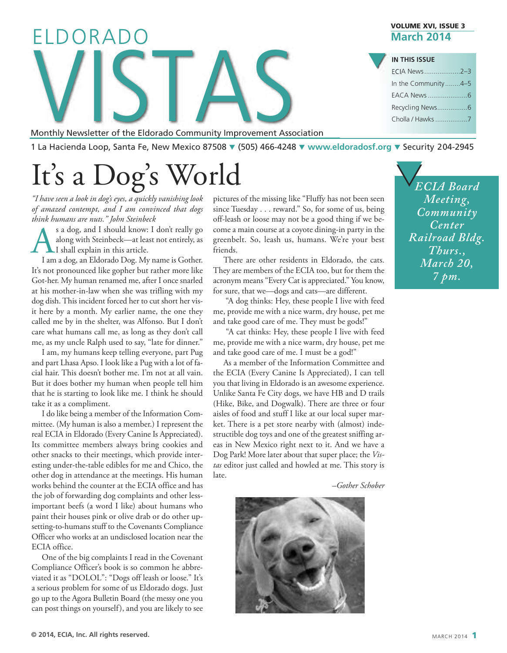# Monthly Newsletter of the Eldorado Community Improvement Assoc ELDORADO  $\sqrt{}$

Monthly Newsletter of the Eldorado Community Improvement Association

1 La Hacienda Loop, Santa Fe, New Mexico 87508 q (505) 466-4248 q **[www.eldoradosf.org](http://www.eldoradosf.org)** q Security 204-2945

# It's a Dog's World  $\bigvee_{E}$

*"I have seen a look in dog's eyes, a quickly vanishing look of amazed contempt, and I am convinced that dogs think humans are nuts." John Steinbeck*

S a dog, and I should know: I don't really go<br>along with Steinbeck—at least not entirely, as<br>I am a dog, an Eldorado Dog. My name is Gother. along with Steinbeck—at least not entirely, as I shall explain in this article.

I am a dog, an Eldorado Dog. My name is Gother. It's not pronounced like gopher but rather more like Got-her. My human renamed me, after I once snarled at his mother-in-law when she was trifling with my dog dish.This incident forced her to cut short her visit here by a month. My earlier name, the one they called me by in the shelter, was Alfonso. But I don't care what humans call me, as long as they don't call me, as my uncle Ralph used to say, "late for dinner."

I am, my humans keep telling everyone, part Pug and part Lhasa Apso. I look like a Pug with a lot of facial hair. This doesn't bother me. I'm not at all vain. But it does bother my human when people tell him that he is starting to look like me. I think he should take it as a compliment.

I do like being a member of the Information Committee. (My human is also a member.) I represent the real ECIA in Eldorado (Every Canine Is Appreciated). Its committee members always bring cookies and other snacks to their meetings, which provide interesting under-the-table edibles for me and Chico, the other dog in attendance at the meetings. His human works behind the counter at the ECIA office and has the job of forwarding dog complaints and other lessimportant beefs (a word I like) about humans who paint their houses pink or olive drab or do other upsetting-to-humans stuff to the Covenants Compliance Officer who works at an undisclosed location near the ECIA office.

One of the big complaints I read in the Covenant Compliance Officer's book is so common he abbreviated it as "DOLOL": "Dogs off leash or loose." It's a serious problem for some of us Eldorado dogs. Just go up to the Agora Bulletin Board (the messy one you can post things on yourself), and you are likely to see pictures of the missing like "Fluffy has not been seen since Tuesday . . . reward." So, for some of us, being off-leash or loose may not be a good thing if we become a main course at a coyote dining-in party in the greenbelt. So, leash us, humans. We're your best friends.

There are other residents in Eldorado, the cats. They are members of the ECIA too, but for them the acronym means "Every Cat is appreciated." You know, for sure, that we—dogs and cats—are different.

"A dog thinks: Hey, these people I live with feed me, provide me with a nice warm, dry house, pet me and take good care of me. They must be gods!"

"A cat thinks: Hey, these people I live with feed me, provide me with a nice warm, dry house, pet me and take good care of me. I must be a god!"

As a member of the Information Committee and the ECIA (Every Canine Is Appreciated), I can tell you that living in Eldorado is an awesome experience. Unlike Santa Fe City dogs, we have HB and D trails (Hike, Bike, and Dogwalk). There are three or four aisles of food and stuff I like at our local super market. There is a pet store nearby with (almost) indestructible dog toys and one of the greatest sniffing areas in New Mexico right next to it. And we have a Dog Park! More later about that super place; the *Vistas* editor just called and howled at me. This story is late.

*–Gother Schober*



**VOLUME XVI, ISSUE 3 March 2014**

| <b>IN THIS ISSUE</b> |  |
|----------------------|--|
| ECIA News2-3         |  |
| In the Community4-5  |  |
|                      |  |
|                      |  |
| Cholla / Hawks 7     |  |
|                      |  |

*ECIA Board Meeting, Community Center Railroad Bldg. Thurs., March 20, 7 pm.*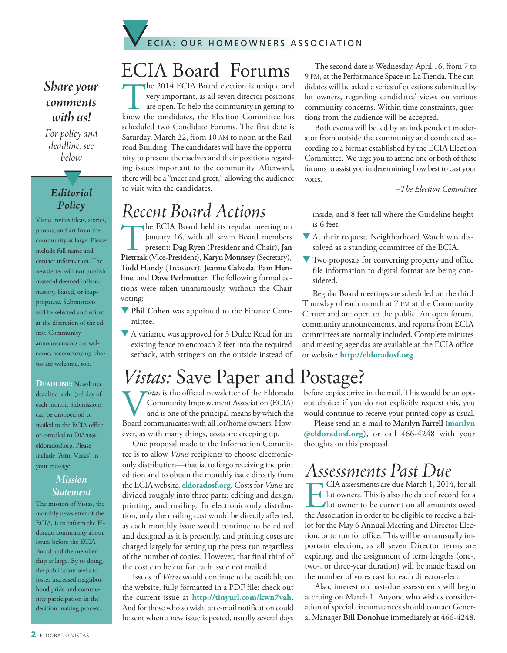

### *Share* your *comments with us!*

For policy and *deadline, see below*

#### *Editorial Policy*

t

Vistas invites ideas, stories, photos, and art from the community at large. Please include full name and contact information. The newsletter will not publish material deemed inflammatory, biased, or inappropriate. Submissions will be selected and edited at the discretion of the editor. Community announcements are welcome; accompanying photos are welcome, too.

**DEADLINE:** Newsletter deadline is the 3rd day of each month. Submissions can be dropped off or mailed to the ECIA office or e-mailed to DiAna@ eldoradosf.org. Please include "Attn: Vistas" in your message.

#### *Mission Statement*

The mission of Vistas, the monthly newsletter of the ECIA, is to inform the Eldorado community about issues before the ECIA Board and the membership at large. By so doing, the publication seeks to foster increased neighborhood pride and community participation in the decision making process.

## ECIA Board Forums

The 2014 ECIA Board election is unique and<br>very important, as all seven director positions<br>are open. To help the community in getting to<br>know the candidates, the Election Committee has very important, as all seven director positions are open.To help the community in getting to know the candidates, the Election Committee has scheduled two Candidate Forums. The first date is Saturday, March 22, from 10 AM to noon at the Railroad Building. The candidates will have the opportunity to present themselves and their positions regarding issues important to the community. Afterward, there will be a "meet and greet," allowing the audience to visit with the candidates.

The second date is Wednesday, April 16, from 7 to 9 PM, at the Performance Space in LaTienda.The candidates will be asked a series of questions submitted by lot owners, regarding candidates' views on various community concerns. Within time constraints, questions from the audience will be accepted.

Both events will be led by an independent moderator from outside the community and conducted according to a format established by the ECIA Election Committee. We urge you to attend one or both of these forums to assist you in determining how best to cast your votes.

*–The Election Committee*

## *Recent Board Actions*

The ECIA Board held its regular meeting on January 16, with all seven Board members present: **Dag Ryen** (President and Chair), **Jan Pietrzak** (Vice-President), **Karyn Mounsey** (Secretary), **Todd Handy** (Treasurer), **Jeanne Calzada**, **Pam Henline**, and **Dave Perlmutter**. The following formal actions were taken unanimously, without the Chair voting:

**V** Phil Cohen was appointed to the Finance Committee.

A variance was approved for 3 Dulce Road for an existing fence to encroach 2 feet into the required setback, with stringers on the outside instead of inside, and 8 feet tall where the Guideline height is 6 feet.

- $\nabla$  At their request, Neighborhood Watch was dissolved as a standing committee of the ECIA.
- $\blacktriangledown$  Two proposals for converting property and office file information to digital format are being considered.

Regular Board meetings are scheduled on the third Thursday of each month at 7 PM at the Community Center and are open to the public. An open forum, community announcements, and reports from ECIA committees are normally included. Complete minutes and meeting agendas are available at the ECIA office or website: **[http://eldoradosf.org](http://www.eldoradosf.org)**.

## *Vistas:* Save Paper and Postage?

*istas* is the official newsletter of the Eldorado Community Improvement Association (ECIA) and is one of the principal means by which the Board communicates with all lot/home owners. However, as with many things, costs are creeping up.

One proposal made to the Information Committee is to allow *Vistas* recipients to choose electroniconly distribution—that is, to forgo receiving the print edition and to obtain the monthly issue directly from the ECIA website, **eldoradosf.org**. Costs for *Vistas* are divided roughly into three parts: editing and design, printing, and mailing. In electronic-only distribution, only the mailing cost would be directly affected, as each monthly issue would continue to be edited and designed as it is presently, and printing costs are charged largely for setting up the press run regardless of the number of copies. However, that final third of the cost can be cut for each issue not mailed.

Issues of *Vistas* would continue to be available on the website, fully formatted in a PDF file: check out the current issue at **<http://tinyurl.com/kwn7vah>**. And for those who so wish, an e-mail notification could be sent when a new issue is posted, usually several days

before copies arrive in the mail. This would be an optout choice: if you do not explicitly request this, you would continue to receive your printed copy as usual.

Please send an e-mail to **Marilyn Farrell** (**marilyn @eldoradosf.org**), or call 466-4248 with your thoughts on this proposal.

## *Assessments PastDue*

**EXTERN** CIA assessments are due March 1, 2014, for all<br>lot owners. This is also the date of record for a<br>lot owner to be current on all amounts owed<br>the Association in order to be eligible to receive a ballot owners. This is also the date of record for a lot owner to be current on all amounts owed the Association in order to be eligible to receive a ballot for the May 6 Annual Meeting and Director Election, or to run for office.This will be an unusually important election, as all seven Director terms are expiring, and the assignment of term lengths (one-, two-, or three-year duration) will be made based on the number of votes cast for each director-elect.

Also, interest on past-due assessments will begin accruing on March 1. Anyone who wishes consideration of special circumstances should contact General Manager **Bill Donohue** immediately at 466-4248.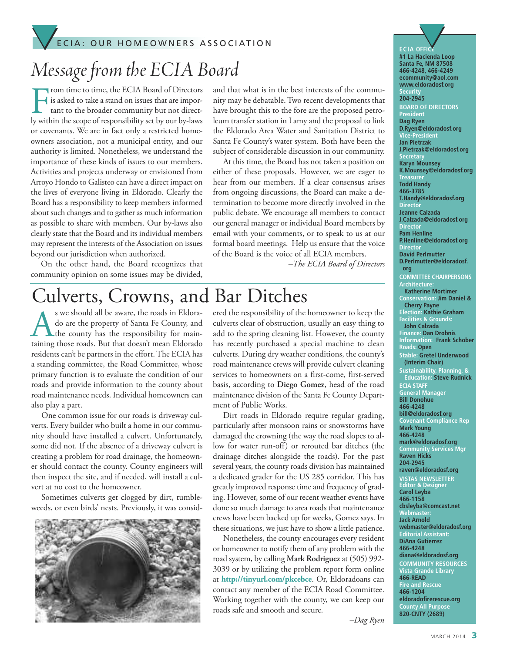### E C I A : OUR HOMEOWNERS ASSOCIATION ECIA: OUR HOMEOWNERS ASSOCIATION

## *Message from the ECIA Board*

From time to time, the ECIA Board of Directors<br>is asked to take a stand on issues that are impor-<br>tant to the broader community but not direct-<br>ly within the scope of responsibility set by our by-laws rom time to time, the ECIA Board of Directors is asked to take a stand on issues that are important to the broader community but not director covenants. We are in fact only a restricted homeowners association, not a municipal entity, and our authority is limited. Nonetheless, we understand the importance of these kinds of issues to our members. Activities and projects underway or envisioned from Arroyo Hondo to Galisteo can have a direct impact on the lives of everyone living in Eldorado. Clearly the Board has a responsibility to keep members informed about such changes and to gather as much information as possible to share with members. Our by-laws also clearly state that the Board and its individual members may represent the interests of the Association on issues beyond our jurisdiction when authorized.

On the other hand, the Board recognizes that community opinion on some issues may be divided,

and that what is in the best interests of the community may be debatable.Two recent developments that have brought this to the fore are the proposed petroleum transfer station in Lamy and the proposal to link the Eldorado Area Water and Sanitation District to Santa Fe County's water system. Both have been the subject of considerable discussion in our community.

At this time, the Board has not taken a position on either of these proposals. However, we are eager to hear from our members. If a clear consensus arises from ongoing discussions, the Board can make a determination to become more directly involved in the public debate. We encourage all members to contact our general manager or individual Board members by email with your comments, or to speak to us at our formal board meetings. Help us ensure that the voice of the Board is the voice of all ECIA members.

*–The ECIA Board of Directors*

## Culverts, Crowns, and Bar Ditches

S we should all be aware, the roads in Eldora-<br>do are the property of Santa Fe County, and<br>the county has the responsibility for main-<br>taining those roads. But that doesn't mean Eldorado do are the property of Santa Fe County, and **L**the county has the responsibility for maintaining those roads. But that doesn't mean Eldorado residents can't be partners in the effort. The ECIA has a standing committee, the Road Committee, whose primary function is to evaluate the condition of our roads and provide information to the county about road maintenance needs. Individual homeowners can also play a part.

One common issue for our roads is driveway culverts. Every builder who built a home in our community should have installed a culvert. Unfortunately, some did not. If the absence of a driveway culvert is creating a problem for road drainage, the homeowner should contact the county. County engineers will then inspect the site, and if needed, will install a culvert at no cost to the homeowner.

Sometimes culverts get clogged by dirt, tumbleweeds, or even birds' nests. Previously, it was consid-



ered the responsibility of the homeowner to keep the culverts clear of obstruction, usually an easy thing to add to the spring cleaning list. However, the county has recently purchased a special machine to clean culverts. During dry weather conditions, the county's road maintenance crews will provide culvert cleaning services to homeowners on a first-come, first-served basis, according to **Diego Gomez**, head of the road maintenance division of the Santa Fe County Department of Public Works.

Dirt roads in Eldorado require regular grading, particularly after monsoon rains or snowstorms have damaged the crowning (the way the road slopes to allow for water run-off) or rerouted bar ditches (the drainage ditches alongside the roads). For the past several years, the county roads division has maintained a dedicated grader for the US 285 corridor. This has greatly improved response time and frequency of grading. However, some of our recent weather events have done so much damage to area roads that maintenance crews have been backed up for weeks, Gomez says. In these situations, we just have to show a little patience.

Nonetheless, the county encourages every resident or homeowner to notify them of any problem with the road system, by calling **Mark Rodriguez** at (505) 992- 3039 or by utilizing the problem report form online at **http://tinyurl.com/pkcebce**. Or, Eldoradoans can contact any member of the ECIA Road Committee. Working together with the county, we can keep our roads safe and smooth and secure.

**ECIA** OFFI **#1 La Hacienda Loop Santa Fe, NM 87508 466-4248, 466-4249 ecommunity@aol.com www.eldoradosf.org ecurit 204-2945 BOARD OF DIRECTORS President Dag Ryen D.Ryen@eldoradosf.org Vice-President Jan Pietrzak J.Pietrzak@eldoradosf.org Secretary Karyn Mounsey K.Mounsey@eldoradosf.org Treasurer Todd Handy 466-3785 T.Handy@eldoradosf.org Director Jeanne Calzada J.Calzada@eldoradosf.org Director Pam Henline P.Henline@eldoradosf.org Director David Perlmutter D.Perlmutter@eldoradosf. org COMMITTEE CHAIRPERSONS Architecture: Katherine Mortimer Conservation: Jim Daniel & Cherry Payne Election: Kathie Graham Facilities & Grounds: John Calzada Finance: Dan Drobnis Information: Frank Schober Roads: Open Stable: Gretel Underwood (Interim Chair) Sustainability, Planning, & Education: Steve Rudnick ECIA STAFF General Manager Bill Donohue 466-4248 bill@eldoradosf.org Covenant Compliance Rep Mark Young 466-4248 mark@eldoradosf.org Community Services Mgr Raven Hicks 204-2945 raven@eldoradosf.org VISTAS NEWSLETTER Editor & Designer Carol Leyba 466-1158 cbsleyba@comcast.net Webmaster: Jack Arnold webmaster@eldoradosf.org Editorial Assistant: DiAna Gutierrez 466-4248 diana@eldoradosf.org COMMUNITY RESOURCES Vista Grande Library 466-READ Fire and Rescue 466-1204 eldoradofirerescue.org County All Purpose 820-CNTY (2689)**

*–Dag Ryen*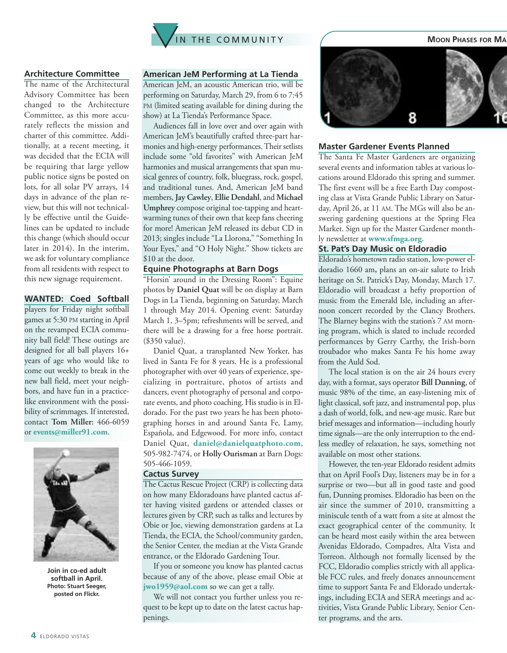

#### **Architecture Committee**

The name of the Architectural Advisory Committee has been changed to the Architecture Committee, as this more accurately reflects the mission and charter of this committee. Additionally, at a recent meeting, it was decided that the ECIA will be requiring that large yellow public notice signs be posted on lots, for all solar PV arrays, 14 days in advance of the plan review, but this will not technically be effective until the Guidelines can be updated to include this change (which should occur later in 2014). In the interim, we ask for voluntary compliance from all residents with respect to this new signage requirement.

#### **WANTED: Coed Softball**

players for Friday night softball games at 5:30 PM starting in April on the revamped ECIA community ball field! These outings are designed for all ball players 16+ years of age who would like to come out weekly to break in the new ball field, meet your neighbors, and have fun in a practicelike environment with the possibility of scrimmages. If interested, contact **Tom Miller:** 466-6059 or **events@miller91.com**.



**Join in co-ed adult softball in April. Photo: Stuart Seeger, posted on Flickr.**

#### **American JeM Performing at La Tienda**

American JeM, an acoustic American trio, will be performing on Saturday, March 29, from 6 to 7:45 PM (limited seating available for dining during the show) at La Tienda's Performance Space.

Audiences fall in love over and over again with American JeM's beautifully crafted three-part harmonies and high-energy performances.Their setlists include some "old favorites" with American JeM harmonies and musical arrangements that span musical genres of country, folk, bluegrass, rock, gospel, and traditional tunes. And, American JeM band members, **Jay Cawley**, **Ellie Dendahl**, and **Michael Umphrey** compose original toe-tapping and heartwarming tunes of their own that keep fans cheering for more! American JeM released its debut CD in 2013; singles include "La Llorona," "Something In Your Eyes," and "O Holy Night." Show tickets are \$10 at the door.

#### **Equine Photographs at Barn Dogs**

"Horsin' around in the Dressing Room": Equine photos by **Daniel Quat** will be on display at Barn Dogs in La Tienda, beginning on Saturday, March 1 through May 2014. Opening event: Saturday March 1, 3–5pm; refreshments will be served, and there will be a drawing for a free horse portrait. (\$350 value).

Daniel Quat, a transplanted New Yorker, has lived in Santa Fe for 8 years. He is a professional photographer with over 40 years of experience, specializing in portraiture, photos of artists and dancers, event photography of personal and corporate events, and photo coaching. His studio is in Eldorado. For the past two years he has been photographing horses in and around Santa Fe, Lamy, Española, and Edgewood. For more info, contact Daniel Quat, **daniel@danielquatphoto.com**, 505-982-7474, or **Holly Ourisman** at Barn Dogs: 505-466-1059.

#### **Cactus Survey**

The Cactus Rescue Project (CRP) is collecting data on how many Eldoradoans have planted cactus after having visited gardens or attended classes or lectures given by CRP, such as talks and lectures by Obie or Joe, viewing demonstration gardens at La Tienda, the ECIA, the School/community garden, the Senior Center, the median at the Vista Grande entrance, or the Eldorado Gardening Tour.

If you or someone you know has planted cactus because of any of the above, please email Obie at **jwo1959@aol.com** so we can get a tally.

We will not contact you further unless you request to be kept up to date on the latest cactus happenings.



#### **Master Gardener Events Planned**

The Santa Fe Master Gardeners are organizing several events and information tables at various locations around Eldorado this spring and summer. The first event will be a free Earth Day composting class at Vista Grande Public Library on Saturday, April 26, at 11 AM. The MGs will also be answering gardening questions at the Spring Flea Market. Sign up for the Master Gardener monthly newsletter at **www.sfmga.org**.

#### **St. Pat's Day Music on Eldoradio**

Eldorado's hometown radio station, low-power eldoradio 1660 am**,** plans an on-air salute to Irish heritage on St. Patrick's Day, Monday, March 17. Eldoradio will broadcast a hefty proportion of music from the Emerald Isle, including an afternoon concert recorded by the Clancy Brothers. The Blarney begins with the station's 7 AM morning program, which is slated to include recorded performances by Gerry Carthy, the Irish-born troubador who makes Santa Fe his home away from the Auld Sod.

The local station is on the air 24 hours every day, with a format, says operator **Bill Dunning**, of music 98% of the time, an easy-listening mix of light classical, soft jazz, and instrumental pop, plus a dash of world, folk, and new-age music. Rare but brief messages and information—including hourly time signals—are the only interruption to the endless medley of relaxation, he says, something not available on most other stations.

However, the ten-year Eldorado resident admits that on April Fool's Day, listeners may be in for a surprise or two—but all in good taste and good fun, Dunning promises. Eldoradio has been on the air since the summer of 2010, transmitting a miniscule tenth of a watt from a site at almost the exact geographical center of the community. It can be heard most easily within the area between Avenidas Eldorado, Compadres, Alta Vista and Torreon. Although not formally licensed by the FCC, Eldoradio complies strictly with all applicable FCC rules, and freely donates announcement time to support Santa Fe and Eldorado undertakings, including ECIA and SERA meetings and activities, Vista Grande Public Library, Senior Center programs, and the arts.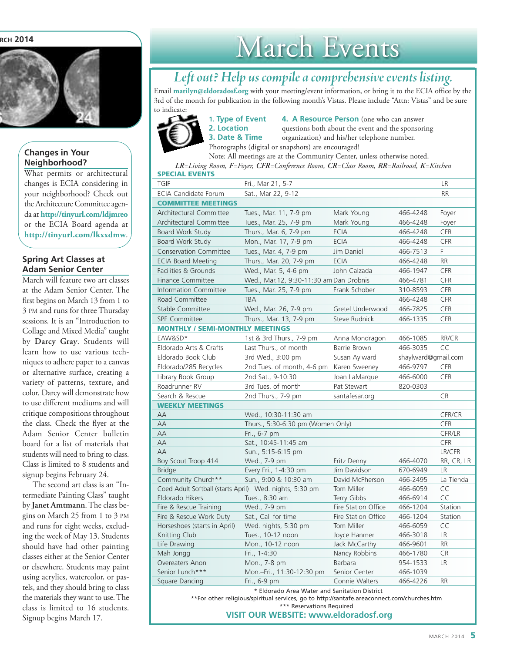#### **RCH 2014**



#### **Changes in Your Neighborhood?**

What permits or architectural changes is ECIA considering in your neighborhood? Check out the Architecture Committee agenda at **<http://tinyurl.com/ldjmreo>** or the ECIA Board agenda at **<http://tinyurl.com/lkxxdmw>**.

#### **Spring Art Classes at Adam Senior Center**

March will feature two art classes at the Adam Senior Center. The first begins on March 13 from 1 to 3 PM and runs for three Thursday sessions. It is an "Introduction to Collage and Mixed Media" taught by **Darcy Gray**. Students will learn how to use various techniques to adhere paper to a canvas or alternative surface, creating a variety of patterns, texture, and color. Darcy will demonstrate how to use different mediums and will critique compositions throughout the class. Check the flyer at the Adam Senior Center bulletin board for a list of materials that students will need to bring to class. Class is limited to 8 students and signup begins February 24.

The second art class is an "Intermediate Painting Class" taught by **Janet Amtmann**. The class begins on March 25 from 1 to 3 PM and runs for eight weeks, excluding the week of May 13. Students should have had other painting classes either at the Senior Center or elsewhere. Students may paint using acrylics, watercolor, or pastels, and they should bring to class the materials they want to use.The class is limited to 16 students. Signup begins March 17.

## March Events

### *Leftout? Help us compileacomprehensive events listing.*

Email **marilyn@eldoradosf.org** with your meeting/event information, or bring it to the ECIA office by the 3rd of the month for publication in the following month's Vistas. Please include "Attn: Vistas" and be sure to indicate:



**1. Type of Event 4. A Resource Person** (one who can answer **2. Location questions** both about the event and the sponsoring **3. Date & Time** organization) and his/her telephone number. Photographs (digital or snapshots) are encouraged!

**SPECIAL EVENTS** Note: All meetings are at the Community Center, unless otherwise noted. *LR=Living Room, F=Foyer, CFR=Conference Room, CR=Class Room, RR=Railroad, K=Kitchen*

| <b>TGIF</b>                                                                                 | Fri., Mar 21, 5-7                       |                     |                     | LR            |  |
|---------------------------------------------------------------------------------------------|-----------------------------------------|---------------------|---------------------|---------------|--|
| <b>ECIA Candidate Forum</b>                                                                 | Sat., Mar 22, 9-12                      |                     |                     | <b>RR</b>     |  |
| <b>COMMITTEE MEETINGS</b>                                                                   |                                         |                     |                     |               |  |
| Architectural Committee                                                                     | Tues., Mar. 11, 7-9 pm                  | Mark Young          | 466-4248            | Fover         |  |
| Architectural Committee                                                                     | Tues., Mar. 25, 7-9 pm                  | Mark Young          | 466-4248            | Foyer         |  |
| <b>Board Work Study</b>                                                                     | Thurs., Mar. 6, 7-9 pm                  | <b>ECIA</b>         | 466-4248            | <b>CFR</b>    |  |
| Board Work Study                                                                            | Mon., Mar. 17, 7-9 pm                   | <b>ECIA</b>         | 466-4248            | <b>CFR</b>    |  |
| <b>Conservation Committee</b>                                                               | Tues., Mar. 4, 7-9 pm                   | Jim Daniel          | 466-7513            | F.            |  |
| <b>ECIA Board Meeting</b>                                                                   | Thurs., Mar. 20, 7-9 pm                 | <b>ECIA</b>         | 466-4248            | <b>RR</b>     |  |
| Facilities & Grounds                                                                        | Wed., Mar. 5, 4-6 pm                    | John Calzada        | 466-1947            | CFR           |  |
| <b>Finance Committee</b>                                                                    | Wed., Mar.12, 9:30-11:30 am Dan Drobnis |                     | 466-4781            | CFR           |  |
| <b>Information Committee</b>                                                                | Tues., Mar. 25, 7-9 pm                  | Frank Schober       | 310-8593            | CFR           |  |
| Road Committee                                                                              | <b>TBA</b>                              |                     | 466-4248            | <b>CFR</b>    |  |
| Stable Committee                                                                            | Wed., Mar. 26, 7-9 pm                   | Gretel Underwood    | 466-7825            | CFR           |  |
| <b>SPE Committee</b>                                                                        | Thurs., Mar. 13, 7-9 pm                 | Steve Rudnick       | 466-1335            | <b>CFR</b>    |  |
| <b>MONTHLY / SEMI-MONTHLY MEETINGS</b>                                                      |                                         |                     |                     |               |  |
| EAW&SD*                                                                                     | 1st & 3rd Thurs., 7-9 pm                | Anna Mondragon      | 466-1085            | RR/CR         |  |
| Eldorado Arts & Crafts                                                                      | Last Thurs., of month                   | Barrie Brown        | 466-3035            | CC            |  |
| Eldorado Book Club                                                                          | 3rd Wed., 3:00 pm                       | Susan Aylward       | shaylward@gmail.com |               |  |
| Eldorado/285 Recycles                                                                       | 2nd Tues. of month, 4-6 pm              | Karen Sweeney       | 466-9797            | CFR           |  |
| Library Book Group                                                                          | 2nd Sat., 9-10:30                       | Joan LaMarque       | 466-6000            | CFR           |  |
| Roadrunner RV                                                                               | 3rd Tues. of month                      | Pat Stewart         | 820-0303            |               |  |
| Search & Rescue                                                                             | 2nd Thurs., 7-9 pm                      | santafesar.org      |                     | <b>CR</b>     |  |
| <b>WEEKLY MEETINGS</b>                                                                      |                                         |                     |                     |               |  |
| AA                                                                                          | Wed., 10:30-11:30 am                    |                     |                     | CFR/CR        |  |
| AA                                                                                          | Thurs., 5:30-6:30 pm (Women Only)       |                     |                     | CFR           |  |
| AA                                                                                          | Fri., 6-7 pm                            |                     |                     | CFR/LR        |  |
| AA                                                                                          | Sat., 10:45-11:45 am                    |                     |                     | CFR           |  |
| AA                                                                                          | Sun., 5:15-6:15 pm                      |                     |                     | <b>LR/CFR</b> |  |
| Boy Scout Troop 414                                                                         | Wed., 7-9 pm                            | Fritz Denny         | 466-4070            | RR, CR, LR    |  |
| <b>Bridge</b>                                                                               | Every Fri., 1-4:30 pm                   | Jim Davidson        | 670-6949            | <b>LR</b>     |  |
| Community Church**                                                                          | Sun., 9:00 & 10:30 am                   | David McPherson     | 466-2495            | La Tienda     |  |
| Coed Adult Softball (starts April) Wed. nights, 5:30 pm                                     |                                         | Tom Miller          | 466-6059            | CC            |  |
| Eldorado Hikers                                                                             | Tues., 8:30 am                          | Terry Gibbs         | 466-6914            | CC            |  |
| Fire & Rescue Training                                                                      | Wed., 7-9 pm                            | Fire Station Office | 466-1204            | Station       |  |
| Fire & Rescue Work Duty                                                                     | Sat., Call for time                     | Fire Station Office | 466-1204            | Station       |  |
| Horseshoes (starts in April)                                                                | Wed. nights, 5:30 pm                    | Tom Miller          | 466-6059            | CC            |  |
| Knitting Club                                                                               | Tues., 10-12 noon                       | Joyce Hanmer        | 466-3018            | <b>LR</b>     |  |
| Life Drawing                                                                                | Mon., 10-12 noon                        | Jack McCarthy       | 466-9601            | <b>RR</b>     |  |
| Mah Jongg                                                                                   | Fri., 1-4:30                            | Nancy Robbins       | 466-1780            | <b>CR</b>     |  |
| Overeaters Anon                                                                             | Mon., 7-8 pm                            | <b>Barbara</b>      | 954-1533            | <b>LR</b>     |  |
| Senior Lunch***                                                                             | Mon.-Fri., 11:30-12:30 pm               | Senior Center       | 466-1039            |               |  |
| Square Dancing                                                                              | Fri., 6-9 pm                            | Connie Walters      | 466-4226            | <b>RR</b>     |  |
| * Eldorado Area Water and Sanitation District                                               |                                         |                     |                     |               |  |
| **For other religious/spiritual services, go to http://santafe.areaconnect.com/churches.htm |                                         |                     |                     |               |  |

\*\*\* Reservations Required

#### **VISIT OUR WEBSITE: [www.eldoradosf.org](http://www.eldoradosf.org)**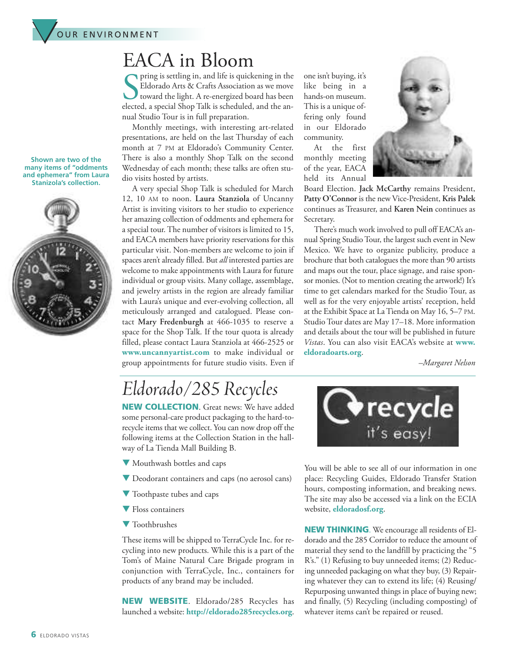

### EACA in Bloom

In pring is settling in, and life is quickening in the Eldorado Arts & Crafts Association as we move toward the light. A re-energized board has been elected, a special Shop Talk is scheduled, and the anpring is settling in, and life is quickening in the Eldorado Arts & Crafts Association as we move toward the light. A re-energized board has been nual Studio Tour is in full preparation.

Monthly meetings, with interesting art-related presentations, are held on the last Thursday of each month at 7 PM at Eldorado's Community Center. There is also a monthly Shop Talk on the second Wednesday of each month; these talks are often studio visits hosted by artists.

A very special Shop Talk is scheduled for March 12, 10 AM to noon. **Laura Stanziola** of Uncanny Artist is inviting visitors to her studio to experience her amazing collection of oddments and ephemera for a special tour.The number of visitors is limited to 15, and EACA members have priority reservations for this particular visit. Non-members are welcome to join if spaces aren't already filled. But *all* interested parties are welcome to make appointments with Laura for future individual or group visits. Many collage, assemblage, and jewelry artists in the region are already familiar with Laura's unique and ever-evolving collection, all meticulously arranged and catalogued. Please contact **Mary Fredenburgh** at 466-1035 to reserve a space for the Shop Talk. If the tour quota is already filled, please contact Laura Stanziola at 466-2525 or **www.uncannyartist.com** to make individual or group appointments for future studio visits. Even if

one isn't buying, it's like being in a hands-on museum. This is a unique offering only found in our Eldorado community.

At the first monthly meeting of the year, EACA held its Annual



Board Election. **Jack McCarthy** remains President, **Patty O'Connor** is the new Vice-President, **Kris Palek** continues as Treasurer, and **Karen Nein** continues as Secretary.

There's much work involved to pull off EACA's annual Spring Studio Tour, the largest such event in New Mexico. We have to organize publicity, produce a brochure that both catalogues the more than 90 artists and maps out the tour, place signage, and raise sponsor monies. (Not to mention creating the artwork!) It's time to get calendars marked for the Studio Tour, as well as for the very enjoyable artists' reception, held at the Exhibit Space at LaTienda on May 16, 5–7 PM. Studio Tour dates are May 17–18. More information and details about the tour will be published in future *Vistas*. You can also visit EACA's website at **[www.](http://www.eldoradoarts.org/) [eldoradoarts.org](http://www.eldoradoarts.org/)**.

*–Margaret Nelson*

## *Eldorado/285 Recycles*

**NEW COLLECTION**. Great news: We have added some personal-care product packaging to the hard-torecycle items that we collect. You can now drop off the following items at the Collection Station in the hallway of La Tienda Mall Building B.

- $\blacktriangledown$  Mouthwash bottles and caps
- Deodorant containers and caps (no aerosol cans)
- $\blacktriangledown$  Toothpaste tubes and caps
- $\blacktriangledown$  Floss containers
- $\blacktriangledown$  Toothbrushes

These items will be shipped to TerraCycle Inc. for recycling into new products. While this is a part of the Tom's of Maine Natural Care Brigade program in conjunction with TerraCycle, Inc., containers for products of any brand may be included.

**NEW WEBSITE**. Eldorado/285 Recycles has launched a website: **<http://eldorado285recycles.org>**.



You will be able to see all of our information in one place: Recycling Guides, Eldorado Transfer Station hours, composting information, and breaking news. The site may also be accessed via a link on the ECIA website, **[eldoradosf.org](http://www.eldoradosf.org)**.

**NEW THINKING**. We encourage all residents of Eldorado and the 285 Corridor to reduce the amount of material they send to the landfill by practicing the "5 R's." (1) Refusing to buy unneeded items; (2) Reducing unneeded packaging on what they buy, (3) Repairing whatever they can to extend its life; (4) Reusing/ Repurposing unwanted things in place of buying new; and finally, (5) Recycling (including composting) of whatever items can't be repaired or reused.

**Shown are two of the many items of "oddments and ephemera" from Laura Stanizola's collection.**

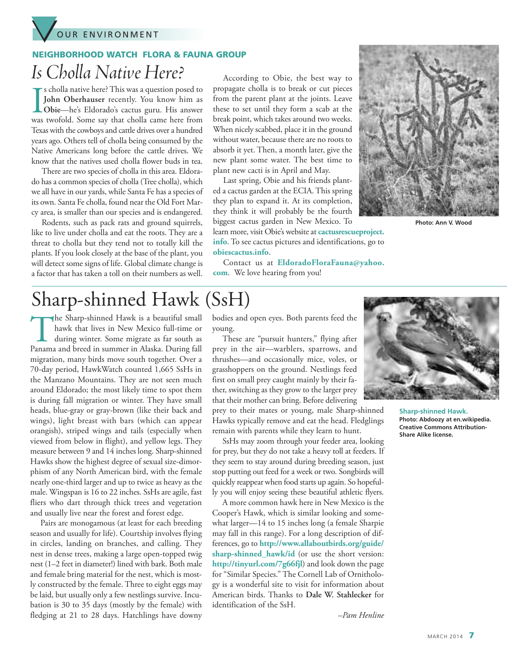

#### **NEIGHBORHOOD WATCH FLORA & FAUNA GROUP**

*Is Cholla Native Here?*

Is cholla native here? This was a question posed to<br>John Oberhauser recently. You know him as<br>Obie—he's Eldorado's cactus guru. His answer<br>was twofold. Some say that cholla came here from s cholla native here? This was a question posed to **John Oberhauser** recently. You know him as **Obie**—he's Eldorado's cactus guru. His answer Texas with the cowboys and cattle drives over a hundred years ago. Others tell of cholla being consumed by the Native Americans long before the cattle drives. We know that the natives used cholla flower buds in tea.

There are two species of cholla in this area. Eldorado has a common species of cholla (Tree cholla), which we all have in our yards, while Santa Fe has a species of its own. Santa Fe cholla, found near the Old Fort Marcy area, is smaller than our species and is endangered.

Rodents, such as pack rats and ground squirrels, like to live under cholla and eat the roots. They are a threat to cholla but they tend not to totally kill the plants. If you look closely at the base of the plant, you will detect some signs of life. Global climate change is a factor that has taken a toll on their numbers as well.

According to Obie, the best way to propagate cholla is to break or cut pieces from the parent plant at the joints. Leave these to set until they form a scab at the break point, which takes around two weeks. When nicely scabbed, place it in the ground without water, because there are no roots to absorb it yet. Then, a month later, give the new plant some water. The best time to plant new cacti is in April and May.

Last spring, Obie and his friends planted a cactus garden at the ECIA. This spring they plan to expand it. At its completion, they think it will probably be the fourth biggest cactus garden in New Mexico. To

learn more, visit Obie's website at **[cactusrescueproject.](http://cactusrescueproject.info) [info](http://cactusrescueproject.info)**. To see cactus pictures and identifications, go to **[obiescactus.info](http://obiescactus.info)**.





**Photo: Ann V. Wood**

## Sharp-shinned Hawk (SsH)

The Sharp-shinned Hawk is <sup>a</sup> beautiful small hawk that lives in New Mexico full-time or during winter. Some migrate as far south as Panama and breed in summer in Alaska. During fall migration, many birds move south together. Over a 70-day period, HawkWatch counted 1,665 SsHs in the Manzano Mountains. They are not seen much around Eldorado; the most likely time to spot them is during fall migration or winter. They have small heads, blue-gray or gray-brown (like their back and wings), light breast with bars (which can appear orangish), striped wings and tails (especially when viewed from below in flight), and yellow legs. They measure between 9 and 14 inches long. Sharp-shinned Hawks show the highest degree of sexual size-dimorphism of any North American bird, with the female nearly one-third larger and up to twice as heavy as the male. Wingspan is 16 to 22 inches. SsHs are agile, fast fliers who dart through thick trees and vegetation and usually live near the forest and forest edge.

Pairs are monogamous (at least for each breeding season and usually for life). Courtship involves flying in circles, landing on branches, and calling. They nest in dense trees, making a large open-topped twig nest (1–2 feet in diameter!) lined with bark. Both male and female bring material for the nest, which is mostly constructed by the female. Three to eight eggs may be laid, but usually only a few nestlings survive. Incubation is 30 to 35 days (mostly by the female) with fledging at 21 to 28 days. Hatchlings have downy

bodies and open eyes. Both parents feed the young.

These are "pursuit hunters," flying after prey in the air—warblers, sparrows, and thrushes—and occasionally mice, voles, or grasshoppers on the ground. Nestlings feed first on small prey caught mainly by their father, switching as they grow to the larger prey that their mother can bring. Before delivering

prey to their mates or young, male Sharp-shinned Hawks typically remove and eat the head. Fledglings remain with parents while they learn to hunt.

SsHs may zoom through your feeder area, looking for prey, but they do not take a heavy toll at feeders. If they seem to stay around during breeding season, just stop putting out feed for a week or two. Songbirds will quickly reappear when food starts up again. So hopefully you will enjoy seeing these beautiful athletic flyers.

A more common hawk here in New Mexico is the Cooper's Hawk, which is similar looking and somewhat larger—14 to 15 inches long (a female Sharpie may fall in this range). For a long description of differences, go to **http:/[/www.allaboutbirds.org/guide/](http://www.allaboutbirds.org/guide/sharp-shinned_hawk/id) [sharp-shinned\\_hawk/id](http://www.allaboutbirds.org/guide/sharp-shinned_hawk/id)** (or use the short version: **<http://tinyurl.com/7g66fjl>**) and look down the page for "Similar Species." The Cornell Lab of Ornithology is a wonderful site to visit for information about American birds. Thanks to **Dale W. Stahlecker** for identification of the SsH.



**Sharp-shinned Hawk. Photo: Abdoozy at en.wikipedia. Creative Commons Attribution-Share Alike license.**